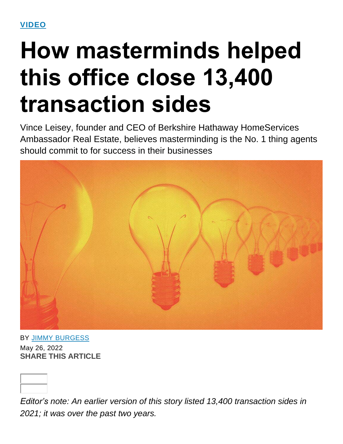# **How masterminds helped this office close 13,400 transaction sides**

Vince Leisey, founder and CEO of Berkshire Hathaway HomeServices Ambassador Real Estate, believes masterminding is the No. 1 thing agents should commit to for success in their businesses



BY JIMMY [BURGESS](https://www.inman.com/author/jimmy-burgess/) May 26, 2022 **SHARE THIS ARTICLE**

*Editor's note: An earlier version of this story listed 13,400 transaction sides in 2021; it was over the past two years.*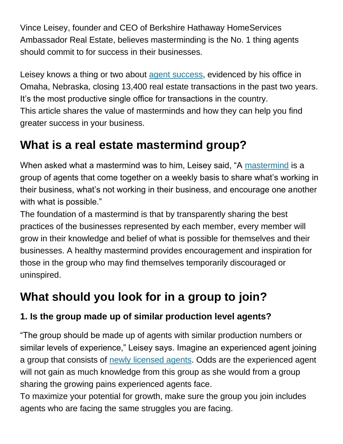Vince Leisey, founder and CEO of Berkshire Hathaway HomeServices Ambassador Real Estate, believes masterminding is the No. 1 thing agents should commit to for success in their businesses.

Leisey knows a thing or two about agent [success,](https://www.inman.com/2022/05/24/7-steps-to-give-new-real-estate-agents-a-leg-up/) evidenced by his office in Omaha, Nebraska, closing 13,400 real estate transactions in the past two years. It's the most productive single office for transactions in the country. This article shares the value of masterminds and how they can help you find greater success in your business.

## **What is a real estate mastermind group?**

When asked what a [mastermind](https://www.inman.com/2021/07/19/what-makes-this-mastermind-group-of-top-agents-so-effective/) was to him, Leisey said, "A mastermind is a group of agents that come together on a weekly basis to share what's working in their business, what's not working in their business, and encourage one another with what is possible."

The foundation of a mastermind is that by transparently sharing the best practices of the businesses represented by each member, every member will grow in their knowledge and belief of what is possible for themselves and their businesses. A healthy mastermind provides encouragement and inspiration for those in the group who may find themselves temporarily discouraged or uninspired.

# **What should you look for in a group to join?**

## **1. Is the group made up of similar production level agents?**

"The group should be made up of agents with similar production numbers or similar levels of experience," Leisey says. Imagine an experienced agent joining a group that consists of newly [licensed](https://www.inman.com/2022/05/18/how-to-help-new-agents-fail-upward/) agents. Odds are the experienced agent will not gain as much knowledge from this group as she would from a group sharing the growing pains experienced agents face.

To maximize your potential for growth, make sure the group you join includes agents who are facing the same struggles you are facing.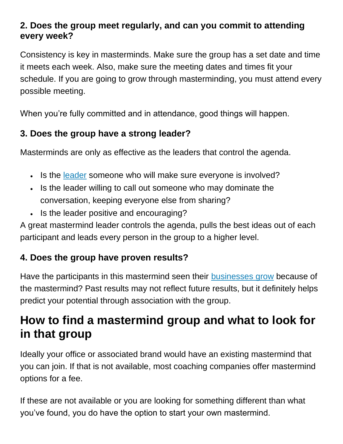#### **2. Does the group meet regularly, and can you commit to attending every week?**

Consistency is key in masterminds. Make sure the group has a set date and time it meets each week. Also, make sure the meeting dates and times fit your schedule. If you are going to grow through masterminding, you must attend every possible meeting.

When you're fully committed and in attendance, good things will happen.

## **3. Does the group have a strong leader?**

Masterminds are only as effective as the leaders that control the agenda.

- Is the [leader](https://www.inman.com/2022/03/21/9-things-agents-should-expect-from-their-leadership/) someone who will make sure everyone is involved?
- Is the leader willing to call out someone who may dominate the conversation, keeping everyone else from sharing?
- Is the leader positive and encouraging?

A great mastermind leader controls the agenda, pulls the best ideas out of each participant and leads every person in the group to a higher level.

## **4. Does the group have proven results?**

Have the participants in this mastermind seen their [businesses](https://www.inman.com/2022/05/22/dont-stunt-your-growth-7-truths-to-embrace-now/) grow because of the mastermind? Past results may not reflect future results, but it definitely helps predict your potential through association with the group.

## **How to find a mastermind group and what to look for in that group**

Ideally your office or associated brand would have an existing mastermind that you can join. If that is not available, most coaching companies offer mastermind options for a fee.

If these are not available or you are looking for something different than what you've found, you do have the option to start your own mastermind.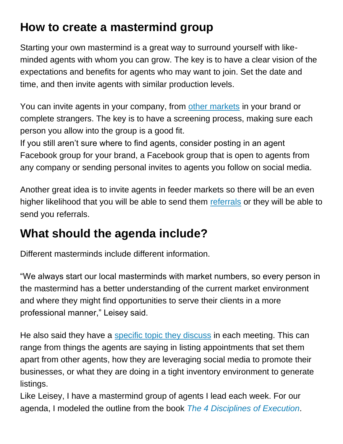## **How to create a mastermind group**

Starting your own mastermind is a great way to surround yourself with likeminded agents with whom you can grow. The key is to have a clear vision of the expectations and benefits for agents who may want to join. Set the date and time, and then invite agents with similar production levels.

You can invite agents in your company, from other [markets](https://www.inman.com/2022/03/30/how-to-get-your-piece-of-the-relocation-buyer-resurgence/) in your brand or complete strangers. The key is to have a screening process, making sure each person you allow into the group is a good fit.

If you still aren't sure where to find agents, consider posting in an agent Facebook group for your brand, a Facebook group that is open to agents from any company or sending personal invites to agents you follow on social media.

Another great idea is to invite agents in feeder markets so there will be an even higher likelihood that you will be able to send them [referrals](https://www.inman.com/2022/04/20/buy-a-lead-or-buy-lunch-should-you-pay-for-leads-or-focus-on-referrals/) or they will be able to send you referrals.

## **What should the agenda include?**

Different masterminds include different information.

"We always start our local masterminds with market numbers, so every person in the mastermind has a better understanding of the current market environment and where they might find opportunities to serve their clients in a more professional manner," Leisey said.

He also said they have a specific topic they [discuss](https://www.inman.com/2021/07/01/how-to-lead-meetings-that-arent-a-waste-of-time/) in each meeting. This can range from things the agents are saying in listing appointments that set them apart from other agents, how they are leveraging social media to promote their businesses, or what they are doing in a tight inventory environment to generate listings.

Like Leisey, I have a mastermind group of agents I lead each week. For our agenda, I modeled the outline from the book *The 4 [Disciplines](https://www.amazon.com/s?k=book+the+4+disciplines+of+execution&gclid=CjwKCAjwyryUBhBSEiwAGN5OCGN9csvJvZrzL2Zq6sQ2tg61TL0dww-z_TIjPv7Xd-ytWWWrDQQuwhoCAMcQAvD_BwE&hvadid=583778832630&hvdev=c&hvlocphy=9022919&hvnetw=g&hvqmt=b&hvrand=7309143594466726506&hvtargid=kwd-1638966683658&hydadcr=21936_10172383&tag=googhydr-20&ref=pd_sl_59u0i8h5rh_b) of Execution*.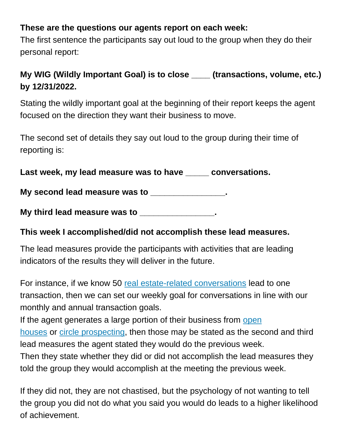#### **These are the questions our agents report on each week:**

The first sentence the participants say out loud to the group when they do their personal report:

#### **My WIG (Wildly Important Goal) is to close \_\_\_\_ (transactions, volume, etc.) by 12/31/2022.**

Stating the wildly important goal at the beginning of their report keeps the agent focused on the direction they want their business to move.

The second set of details they say out loud to the group during their time of reporting is:

**Last week, my lead measure was to have \_\_\_\_\_ conversations.**

**My second lead measure was to \_\_\_\_\_\_\_\_\_\_\_\_\_\_\_\_.**

**My third lead measure was to \_\_\_\_\_\_\_\_\_\_\_\_\_\_\_\_.**

#### **This week I accomplished/did not accomplish these lead measures.**

The lead measures provide the participants with activities that are leading indicators of the results they will deliver in the future.

For instance, if we know 50 real estate-related [conversations](https://www.inman.com/2022/04/26/playing-catch-up-9-how-tos-to-reboot-the-conversation/) lead to one transaction, then we can set our weekly goal for conversations in line with our monthly and annual transaction goals.

If the agent generates a large portion of their business from [open](https://www.inman.com/2022/03/16/the-seller-will-see-you-now-open-houses-are-roaring-back-this-spring/) [houses](https://www.inman.com/2022/03/16/the-seller-will-see-you-now-open-houses-are-roaring-back-this-spring/) or circle [prospecting,](https://www.inman.com/2022/05/02/tough-times-dont-lasttough-agents-do/) then those may be stated as the second and third lead measures the agent stated they would do the previous week. Then they state whether they did or did not accomplish the lead measures they

told the group they would accomplish at the meeting the previous week. If they did not, they are not chastised, but the psychology of not wanting to tell the group you did not do what you said you would do leads to a higher likelihood

of achievement.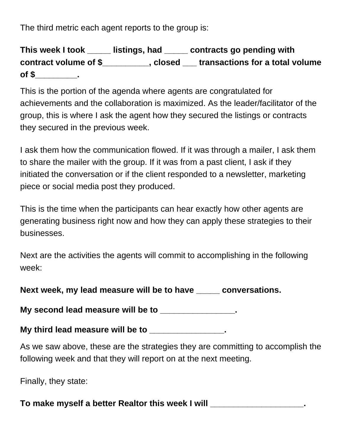The third metric each agent reports to the group is:

**This week I took \_\_\_\_\_ listings, had \_\_\_\_\_ contracts go pending with contract volume of \$\_\_\_\_\_\_\_\_\_\_, closed \_\_\_ transactions for a total volume of \$\_\_\_\_\_\_\_\_\_.**

This is the portion of the agenda where agents are congratulated for achievements and the collaboration is maximized. As the leader/facilitator of the group, this is where I ask the agent how they secured the listings or contracts they secured in the previous week.

I ask them how the communication flowed. If it was through a mailer, I ask them to share the mailer with the group. If it was from a past client, I ask if they initiated the conversation or if the client responded to a newsletter, marketing piece or social media post they produced.

This is the time when the participants can hear exactly how other agents are generating business right now and how they can apply these strategies to their businesses.

Next are the activities the agents will commit to accomplishing in the following week:

**Next week, my lead measure will be to have \_\_\_\_\_ conversations.**

**My second lead measure will be to \_\_\_\_\_\_\_\_\_\_\_\_\_\_\_\_.**

**My third lead measure will be to \_\_\_\_\_\_\_\_\_\_\_\_\_\_\_\_.**

As we saw above, these are the strategies they are committing to accomplish the following week and that they will report on at the next meeting.

Finally, they state:

**To make myself a better Realtor this week I will \_\_\_\_\_\_\_\_\_\_\_\_\_\_\_\_\_\_\_\_.**